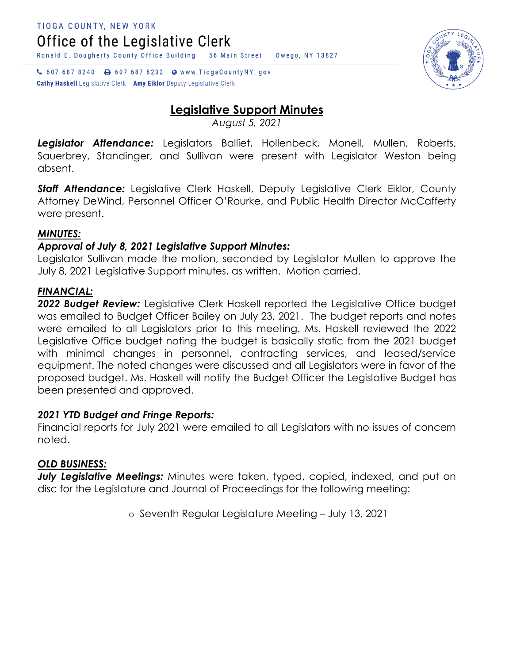Office of the Legislative Clerk

Ronald E. Dougherty County Office Building 56 Main Street Owego, NY 13827

↓ 607 687 8240 → 607 687 8232 ● www.TiogaCountyNY.gov Cathy Haskell Legislative Clerk Amy Eiklor Deputy Legislative Clerk

# **Legislative Support Minutes**

*August 5, 2021*

*Legislator Attendance:* Legislators Balliet, Hollenbeck, Monell, Mullen, Roberts, Sauerbrey, Standinger, and Sullivan were present with Legislator Weston being absent.

*Staff Attendance:* Legislative Clerk Haskell, Deputy Legislative Clerk Eiklor, County Attorney DeWind, Personnel Officer O'Rourke, and Public Health Director McCafferty were present.

# *MINUTES:*

# *Approval of July 8, 2021 Legislative Support Minutes:*

Legislator Sullivan made the motion, seconded by Legislator Mullen to approve the July 8, 2021 Legislative Support minutes, as written. Motion carried.

## *FINANCIAL:*

2022 Budget Review: Legislative Clerk Haskell reported the Legislative Office budget was emailed to Budget Officer Bailey on July 23, 2021. The budget reports and notes were emailed to all Legislators prior to this meeting. Ms. Haskell reviewed the 2022 Legislative Office budget noting the budget is basically static from the 2021 budget with minimal changes in personnel, contracting services, and leased/service equipment. The noted changes were discussed and all Legislators were in favor of the proposed budget. Ms. Haskell will notify the Budget Officer the Legislative Budget has been presented and approved.

## *2021 YTD Budget and Fringe Reports:*

Financial reports for July 2021 were emailed to all Legislators with no issues of concern noted.

## *OLD BUSINESS:*

*July Legislative Meetings:* Minutes were taken, typed, copied, indexed, and put on disc for the Legislature and Journal of Proceedings for the following meeting:

o Seventh Regular Legislature Meeting – July 13, 2021

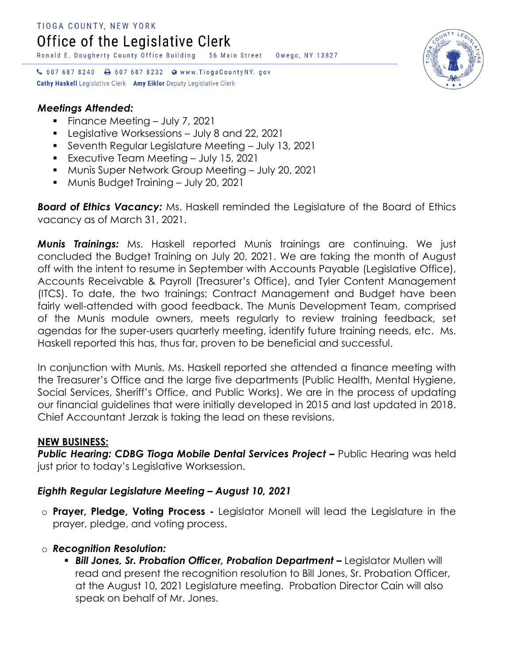Ronald E. Dougherty County Office Building 56 Main Street Owego, NY 13827

↓ 607 687 8240 → 607 687 8232 ● www.TiogaCountyNY.gov **Cathy Haskell** Legislative Clerk Amy Eiklor Deputy Legislative Clerk

## *Meetings Attended:*

- Finance Meeting July 7, 2021
- Legislative Worksessions July 8 and 22, 2021
- Seventh Regular Legislature Meeting July 13, 2021
- **Executive Team Meeting July 15, 2021**
- Munis Super Network Group Meeting July 20, 2021
- **Munis Budget Training July 20, 2021**

*Board of Ethics Vacancy:* Ms. Haskell reminded the Legislature of the Board of Ethics vacancy as of March 31, 2021.

*Munis Trainings:* Ms. Haskell reported Munis trainings are continuing. We just concluded the Budget Training on July 20, 2021. We are taking the month of August off with the intent to resume in September with Accounts Payable (Legislative Office), Accounts Receivable & Payroll (Treasurer's Office), and Tyler Content Management (ITCS). To date, the two trainings; Contract Management and Budget have been fairly well-attended with good feedback. The Munis Development Team, comprised of the Munis module owners, meets regularly to review training feedback, set agendas for the super-users quarterly meeting, identify future training needs, etc. Ms. Haskell reported this has, thus far, proven to be beneficial and successful.

In conjunction with Munis, Ms. Haskell reported she attended a finance meeting with the Treasurer's Office and the large five departments (Public Health, Mental Hygiene, Social Services, Sheriff's Office, and Public Works). We are in the process of updating our financial guidelines that were initially developed in 2015 and last updated in 2018. Chief Accountant Jerzak is taking the lead on these revisions.

#### **NEW BUSINESS:**

**Public Hearing: CDBG Tioga Mobile Dental Services Project –** Public Hearing was held just prior to today's Legislative Worksession.

## *Eighth Regular Legislature Meeting – August 10, 2021*

o **Prayer, Pledge, Voting Process -** Legislator Monell will lead the Legislature in the prayer, pledge, and voting process.

#### o *Recognition Resolution:*

**Bill Jones, Sr. Probation Officer, Probation Department –** Legislator Mullen will read and present the recognition resolution to Bill Jones, Sr. Probation Officer, at the August 10, 2021 Legislature meeting. Probation Director Cain will also speak on behalf of Mr. Jones.